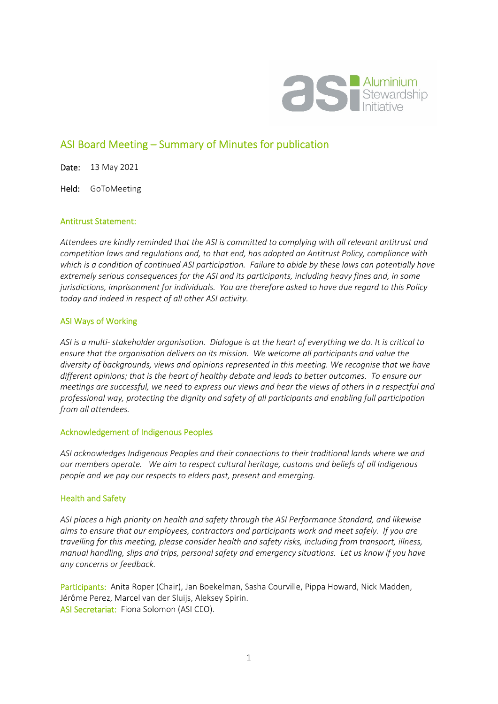

# ASI Board Meeting – Summary of Minutes for publication

Date: 13 May 2021

Held: GoToMeeting

#### Antitrust Statement:

*Attendees are kindly reminded that the ASI is committed to complying with all relevant antitrust and competition laws and regulations and, to that end, has adopted an Antitrust Policy, compliance with which is a condition of continued ASI participation. Failure to abide by these laws can potentially have extremely serious consequences for the ASI and its participants, including heavy fines and, in some jurisdictions, imprisonment for individuals. You are therefore asked to have due regard to this Policy today and indeed in respect of all other ASI activity.* 

#### ASI Ways of Working

*ASI is a multi- stakeholder organisation. Dialogue is at the heart of everything we do. It is critical to ensure that the organisation delivers on its mission. We welcome all participants and value the diversity of backgrounds, views and opinions represented in this meeting. We recognise that we have different opinions; that is the heart of healthy debate and leads to better outcomes. To ensure our meetings are successful, we need to express our views and hear the views of others in a respectful and professional way, protecting the dignity and safety of all participants and enabling full participation from all attendees.* 

#### Acknowledgement of Indigenous Peoples

*ASI acknowledges Indigenous Peoples and their connections to their traditional lands where we and our members operate. We aim to respect cultural heritage, customs and beliefs of all Indigenous people and we pay our respects to elders past, present and emerging.* 

#### Health and Safety

*ASI places a high priority on health and safety through the ASI Performance Standard, and likewise aims to ensure that our employees, contractors and participants work and meet safely. If you are travelling for this meeting, please consider health and safety risks, including from transport, illness, manual handling, slips and trips, personal safety and emergency situations. Let us know if you have any concerns or feedback.* 

Participants: Anita Roper (Chair), Jan Boekelman, Sasha Courville, Pippa Howard, Nick Madden, Jérôme Perez, Marcel van der Sluijs, Aleksey Spirin. ASI Secretariat: Fiona Solomon (ASI CEO).